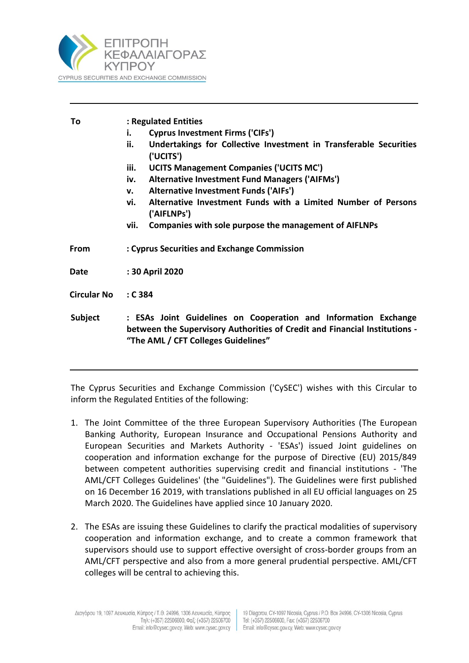

| To                 | : Regulated Entities<br><b>Cyprus Investment Firms ('CIFs')</b><br>i.<br>Undertakings for Collective Investment in Transferable Securities<br>ii.<br>('UCITS')<br>iii.<br><b>UCITS Management Companies ('UCITS MC')</b><br>Alternative Investment Fund Managers ('AIFMs')<br>iv.<br>Alternative Investment Funds ('AIFs')<br>$\mathsf{v}$ .<br>Alternative Investment Funds with a Limited Number of Persons<br>vi.<br>('AIFLNPs')<br>Companies with sole purpose the management of AIFLNPs<br>vii. |
|--------------------|------------------------------------------------------------------------------------------------------------------------------------------------------------------------------------------------------------------------------------------------------------------------------------------------------------------------------------------------------------------------------------------------------------------------------------------------------------------------------------------------------|
| From               | : Cyprus Securities and Exchange Commission                                                                                                                                                                                                                                                                                                                                                                                                                                                          |
| Date               | : 30 April 2020                                                                                                                                                                                                                                                                                                                                                                                                                                                                                      |
| <b>Circular No</b> | : C384                                                                                                                                                                                                                                                                                                                                                                                                                                                                                               |
| <b>Subject</b>     | : ESAs Joint Guidelines on Cooperation and Information Exchange<br>between the Supervisory Authorities of Credit and Financial Institutions -<br>"The AML / CFT Colleges Guidelines"                                                                                                                                                                                                                                                                                                                 |

The Cyprus Securities and Exchange Commission ('CySEC') wishes with this Circular to inform the Regulated Entities of the following:

- 1. The Joint Committee of the three European Supervisory Authorities (The European Banking Authority, European Insurance and Occupational Pensions Authority and European Securities and Markets Authority - 'ESAs') issued Joint guidelines on cooperation and information exchange for the purpose of Directive (EU) 2015/849 between competent authorities supervising credit and financial institutions - 'The AML/CFT Colleges Guidelines' (the "Guidelines"). The Guidelines were first published on 16 December 16 2019, with translations published in all EU official languages on 25 March 2020. The Guidelines have applied since 10 January 2020.
- 2. The ESAs are issuing these Guidelines to clarify the practical modalities of supervisory cooperation and information exchange, and to create a common framework that supervisors should use to support effective oversight of cross-border groups from an AML/CFT perspective and also from a more general prudential perspective. AML/CFT colleges will be central to achieving this.